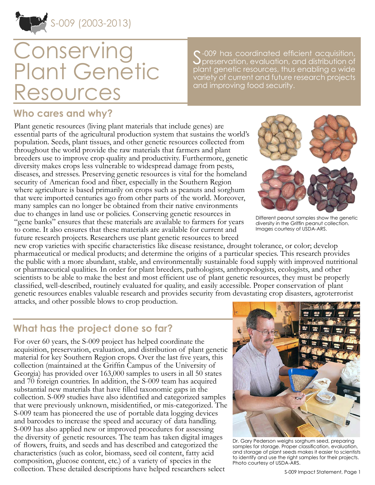

# **Conserving** Plant Genetic Resources

 $\sim$  -009 has coordinated efficient acquisition, preservation, evaluation, and distribution of plant genetic resources, thus enabling a wide variety of current and future research projects and improving food security.

#### **Who cares and why?**

Plant genetic resources (living plant materials that include genes) are essential parts of the agricultural production system that sustains the world's population. Seeds, plant tissues, and other genetic resources collected from throughout the world provide the raw materials that farmers and plant breeders use to improve crop quality and productivity. Furthermore, genetic diversity makes crops less vulnerable to widespread damage from pests, diseases, and stresses. Preserving genetic resources is vital for the homeland security of American food and fiber, especially in the Southern Region where agriculture is based primarily on crops such as peanuts and sorghum that were imported centuries ago from other parts of the world. Moreover, many samples can no longer be obtained from their native environments due to changes in land use or policies. Conserving genetic resources in "gene banks" ensures that these materials are available to farmers for years to come. It also ensures that these materials are available for current and future research projects. Researchers use plant genetic resources to breed



Different peanut samples show the genetic diversity in the Griffin peanut collection. Images courtesy of USDA-ARS.

new crop varieties with specific characteristics like disease resistance, drought tolerance, or color; develop pharmaceutical or medical products; and determine the origins of a particular species. This research provides the public with a more abundant, stable, and environmentally sustainable food supply with improved nutritional or pharmaceutical qualities. In order for plant breeders, pathologists, anthropologists, ecologists, and other scientists to be able to make the best and most efficient use of plant genetic resources, they must be properly classified, well-described, routinely evaluated for quality, and easily accessible. Proper conservation of plant genetic resources enables valuable research and provides security from devastating crop disasters, agroterrorist attacks, and other possible blows to crop production.

#### **What has the project done so far?**

For over 60 years, the S-009 project has helped coordinate the acquisition, preservation, evaluation, and distribution of plant genetic material for key Southern Region crops. Over the last five years, this collection (maintained at the Griffin Campus of the University of Georgia) has provided over 163,000 samples to users in all 50 states and 70 foreign countries. In addition, the S-009 team has acquired substantial new materials that have filled taxonomic gaps in the collection. S-009 studies have also identified and categorized samples that were previously unknown, misidentified, or mis-categorized. The S-009 team has pioneered the use of portable data logging devices and barcodes to increase the speed and accuracy of data handling. S-009 has also applied new or improved procedures for assessing the diversity of genetic resources. The team has taken digital images of flowers, fruits, and seeds and has described and categorized the characteristics (such as color, biomass, seed oil content, fatty acid composition, glucose content, etc.) of a variety of species in the collection. These detailed descriptions have helped researchers select



Dr. Gary Pederson weighs sorghum seed, preparing samples for storage. Proper classification, evaluation, and storage of plant seeds makes it easier to scientists to identify and use the right samples for their projects. Photo courtesy of USDA-ARS.